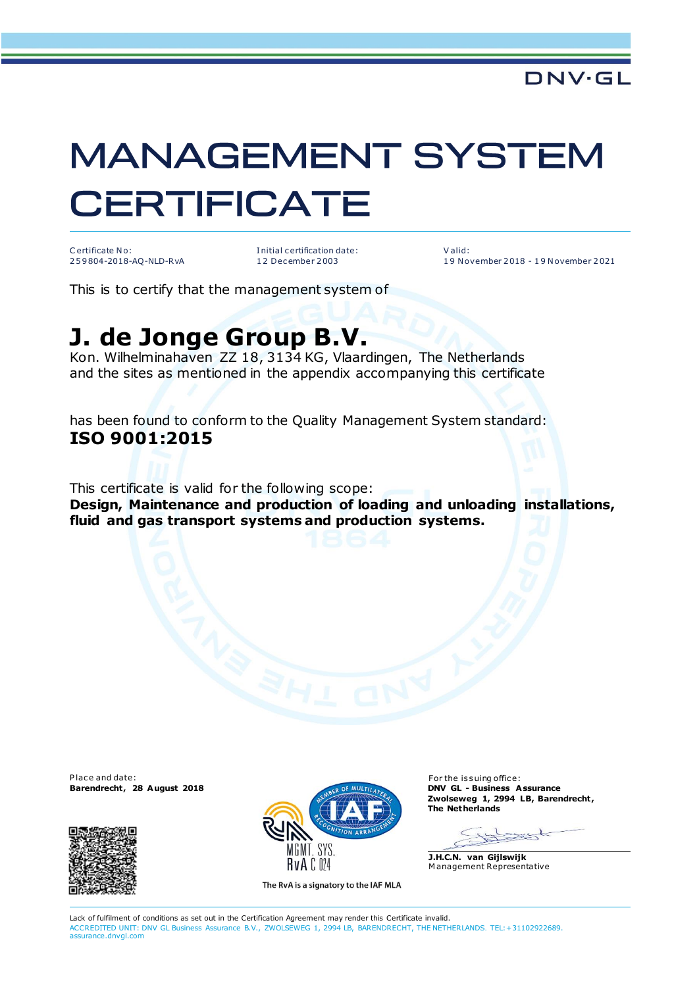## **MANAGEMENT SYSTEM CERTIFICATE**

C ertificate No: 2 5 9 804-2018-AQ-NLD-RvA I nitial c ertification date: 1 2 Dec ember 2 003

V alid: 1 9 N ovember 2 018 - 1 9 N ovember 2 021

This is to certify that the management system of

## **J. de Jonge Group B.V.**

Kon. Wilhelminahaven ZZ 18, 3134 KG, Vlaardingen, The Netherlands and the sites as mentioned in the appendix accompanying this certificate

has been found to conform to the Quality Management System standard: **ISO 9001:2015**

This certificate is valid for the following scope:

**Design, Maintenance and production of loading and unloading installations, fluid and gas transport systems and production systems.**

P lace and date: For the issuing office:





The RvA is a signatory to the IAF MLA

**Zwolseweg 1, 2994 LB, Barendrecht , The Netherlands**

syst  $\rightarrow$ 

**J.H.C.N. van Gijlswijk** M anagement Representative

Lack of fulfilment of conditions as set out in the Certification Agreement may render this Certificate invalid. ACCREDITED UNIT: DNV GL Business Assurance B.V., ZWOLSEWEG 1, 2994 LB, BARENDRECHT, THE NETHERLANDS. TEL:+31102922689. assurance.dnvgl.com